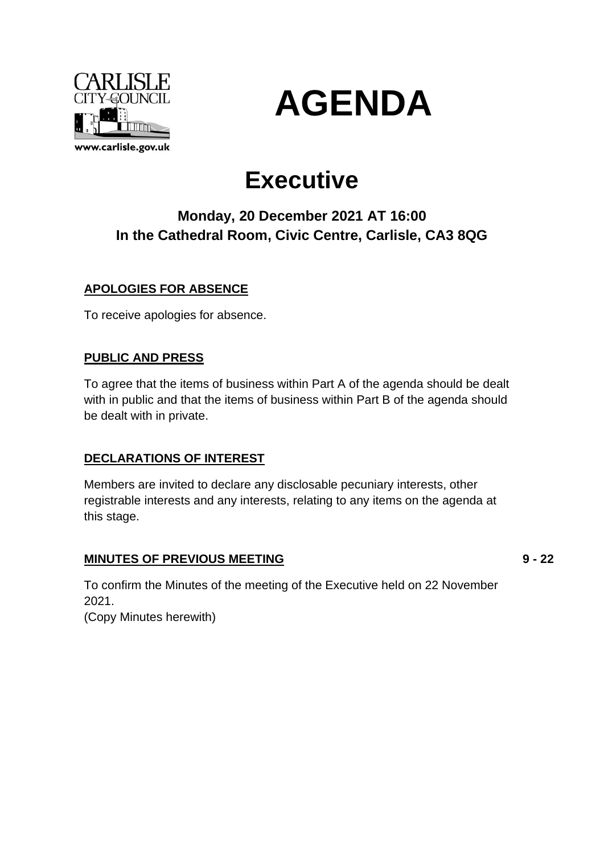



# **Executive**

# **Monday, 20 December 2021 AT 16:00 In the Cathedral Room, Civic Centre, Carlisle, CA3 8QG**

### **APOLOGIES FOR ABSENCE**

To receive apologies for absence.

### **PUBLIC AND PRESS**

To agree that the items of business within Part A of the agenda should be dealt with in public and that the items of business within Part B of the agenda should be dealt with in private.

### **DECLARATIONS OF INTEREST**

Members are invited to declare any disclosable pecuniary interests, other registrable interests and any interests, relating to any items on the agenda at this stage.

### **MINUTES OF PREVIOUS MEETING**

**9 - 22**

To confirm the Minutes of the meeting of the Executive held on 22 November 2021.

(Copy Minutes herewith)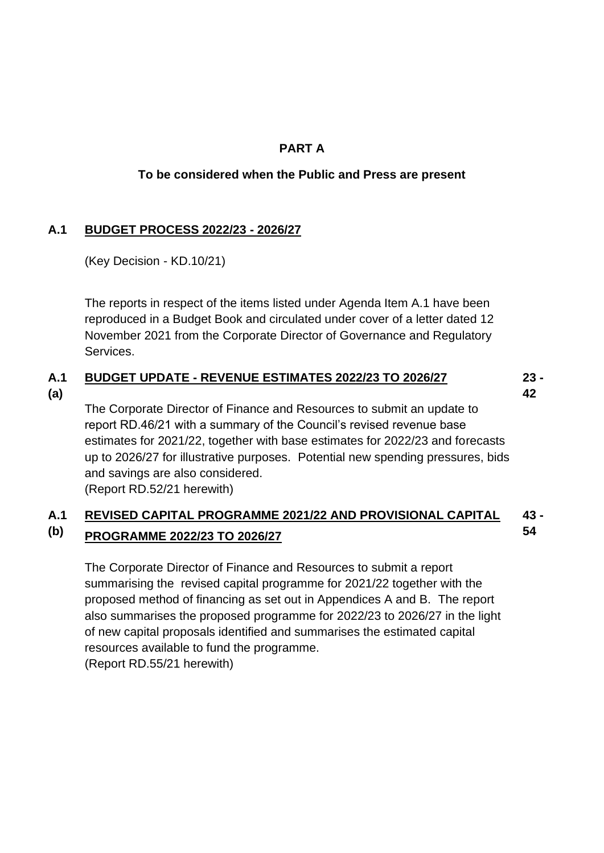### **PART A**

### **To be considered when the Public and Press are present**

### **A.1 BUDGET PROCESS 2022/23 - 2026/27**

(Key Decision - KD.10/21)

The reports in respect of the items listed under Agenda Item A.1 have been reproduced in a Budget Book and circulated under cover of a letter dated 12 November 2021 from the Corporate Director of Governance and Regulatory **Services** 

#### **A.1 BUDGET UPDATE - REVENUE ESTIMATES 2022/23 TO 2026/27 23 - 42**

**(a)**

The Corporate Director of Finance and Resources to submit an update to report RD.46/21 with a summary of the Council's revised revenue base estimates for 2021/22, together with base estimates for 2022/23 and forecasts up to 2026/27 for illustrative purposes. Potential new spending pressures, bids and savings are also considered. (Report RD.52/21 herewith)

#### **A.1 (b) REVISED CAPITAL PROGRAMME 2021/22 AND PROVISIONAL CAPITAL PROGRAMME 2022/23 TO 2026/27 43 - 54**

The Corporate Director of Finance and Resources to submit a report summarising the revised capital programme for 2021/22 together with the proposed method of financing as set out in Appendices A and B. The report also summarises the proposed programme for 2022/23 to 2026/27 in the light of new capital proposals identified and summarises the estimated capital resources available to fund the programme.

(Report RD.55/21 herewith)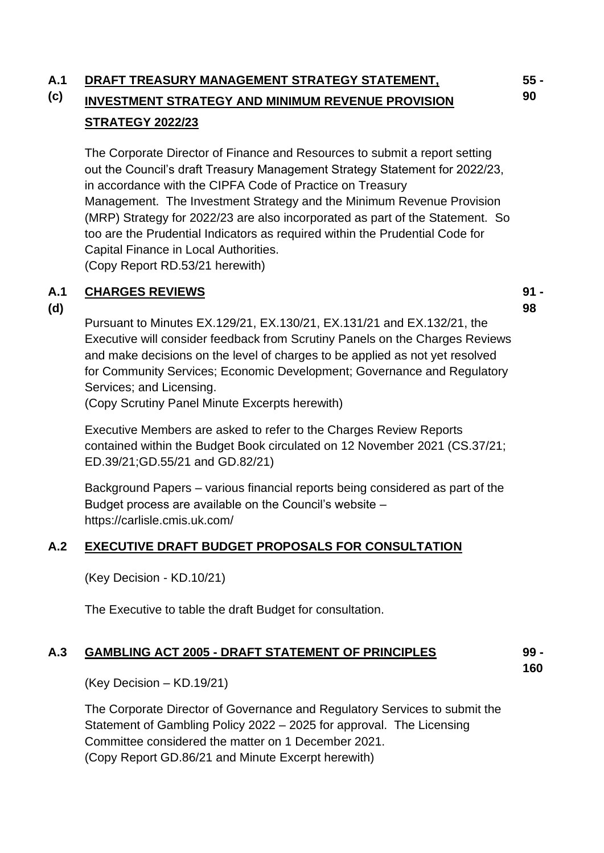#### **A.1 DRAFT TREASURY MANAGEMENT STRATEGY STATEMENT,**

### **(c) INVESTMENT STRATEGY AND MINIMUM REVENUE PROVISION STRATEGY 2022/23**

The Corporate Director of Finance and Resources to submit a report setting out the Council's draft Treasury Management Strategy Statement for 2022/23, in accordance with the CIPFA Code of Practice on Treasury Management. The Investment Strategy and the Minimum Revenue Provision (MRP) Strategy for 2022/23 are also incorporated as part of the Statement. So too are the Prudential Indicators as required within the Prudential Code for Capital Finance in Local Authorities. (Copy Report RD.53/21 herewith)

#### **A.1 CHARGES REVIEWS**

**(d)**

**91 - 98**

Pursuant to Minutes EX.129/21, EX.130/21, EX.131/21 and EX.132/21, the Executive will consider feedback from Scrutiny Panels on the Charges Reviews and make decisions on the level of charges to be applied as not yet resolved for Community Services; Economic Development; Governance and Regulatory Services; and Licensing.

(Copy Scrutiny Panel Minute Excerpts herewith)

Executive Members are asked to refer to the Charges Review Reports contained within the Budget Book circulated on 12 November 2021 (CS.37/21; ED.39/21;GD.55/21 and GD.82/21)

Background Papers – various financial reports being considered as part of the Budget process are available on the Council's website – https://carlisle.cmis.uk.com/

## **A.2 EXECUTIVE DRAFT BUDGET PROPOSALS FOR CONSULTATION**

(Key Decision - KD.10/21)

The Executive to table the draft Budget for consultation.

#### **A.3 GAMBLING ACT 2005 - DRAFT STATEMENT OF PRINCIPLES 99 -**

**160**

(Key Decision – KD.19/21)

The Corporate Director of Governance and Regulatory Services to submit the Statement of Gambling Policy 2022 – 2025 for approval. The Licensing Committee considered the matter on 1 December 2021. (Copy Report GD.86/21 and Minute Excerpt herewith)

**55 - 90**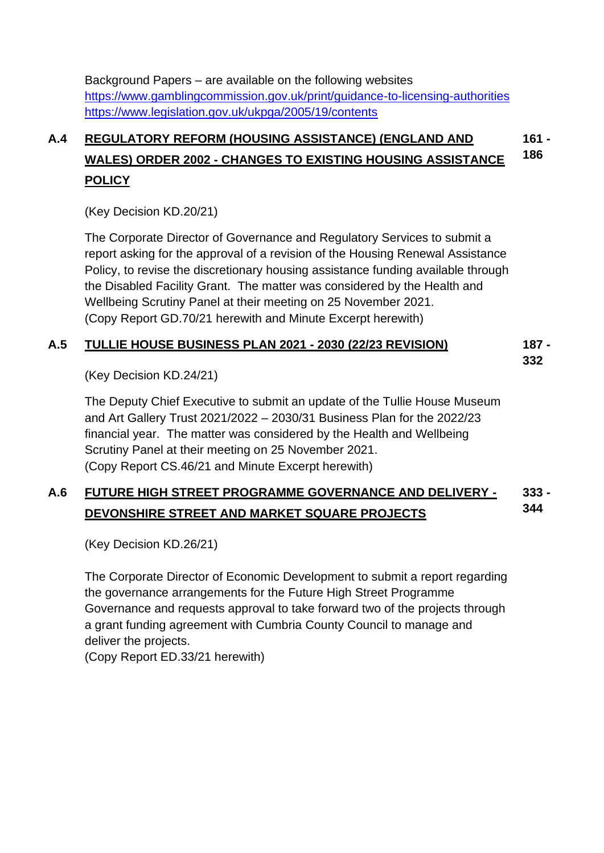Background Papers – are available on the following websites <https://www.gamblingcommission.gov.uk/print/guidance-to-licensing-authorities> <https://www.legislation.gov.uk/ukpga/2005/19/contents>

### **A.4 REGULATORY REFORM (HOUSING ASSISTANCE) (ENGLAND AND WALES) ORDER 2002 - CHANGES TO EXISTING HOUSING ASSISTANCE POLICY 161 - 186**

(Key Decision KD.20/21)

The Corporate Director of Governance and Regulatory Services to submit a report asking for the approval of a revision of the Housing Renewal Assistance Policy, to revise the discretionary housing assistance funding available through the Disabled Facility Grant. The matter was considered by the Health and Wellbeing Scrutiny Panel at their meeting on 25 November 2021. (Copy Report GD.70/21 herewith and Minute Excerpt herewith)

#### **A.5 TULLIE HOUSE BUSINESS PLAN 2021 - 2030 (22/23 REVISION) 187 -**

**332**

(Key Decision KD.24/21)

The Deputy Chief Executive to submit an update of the Tullie House Museum and Art Gallery Trust 2021/2022 – 2030/31 Business Plan for the 2022/23 financial year. The matter was considered by the Health and Wellbeing Scrutiny Panel at their meeting on 25 November 2021. (Copy Report CS.46/21 and Minute Excerpt herewith)

#### **A.6 FUTURE HIGH STREET PROGRAMME GOVERNANCE AND DELIVERY - DEVONSHIRE STREET AND MARKET SQUARE PROJECTS 333 - 344**

(Key Decision KD.26/21)

The Corporate Director of Economic Development to submit a report regarding the governance arrangements for the Future High Street Programme Governance and requests approval to take forward two of the projects through a grant funding agreement with Cumbria County Council to manage and deliver the projects.

(Copy Report ED.33/21 herewith)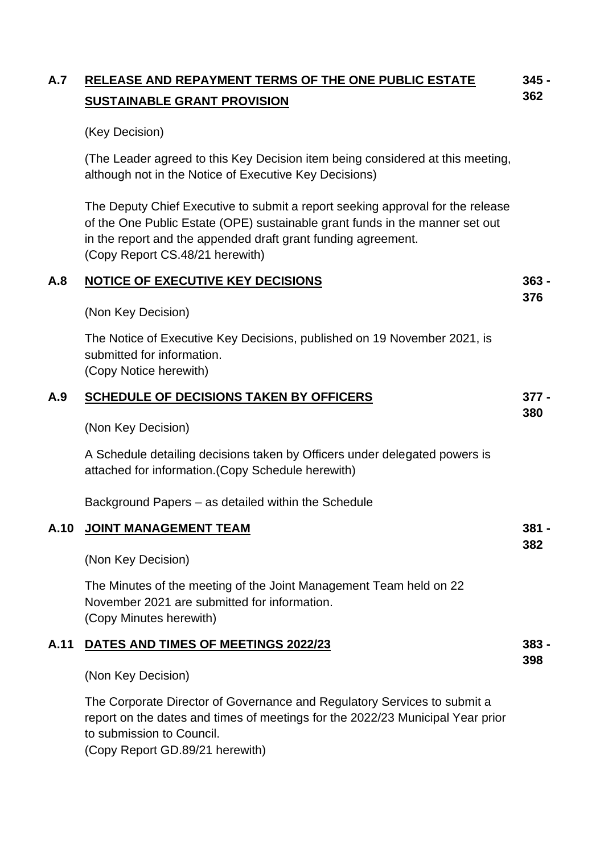| A.7  | RELEASE AND REPAYMENT TERMS OF THE ONE PUBLIC ESTATE                                                                                                                                                                                                               | $345 -$      |
|------|--------------------------------------------------------------------------------------------------------------------------------------------------------------------------------------------------------------------------------------------------------------------|--------------|
|      | <b>SUSTAINABLE GRANT PROVISION</b>                                                                                                                                                                                                                                 | 362          |
|      | (Key Decision)                                                                                                                                                                                                                                                     |              |
|      | (The Leader agreed to this Key Decision item being considered at this meeting,<br>although not in the Notice of Executive Key Decisions)                                                                                                                           |              |
|      | The Deputy Chief Executive to submit a report seeking approval for the release<br>of the One Public Estate (OPE) sustainable grant funds in the manner set out<br>in the report and the appended draft grant funding agreement.<br>(Copy Report CS.48/21 herewith) |              |
| A.8  | <b>NOTICE OF EXECUTIVE KEY DECISIONS</b>                                                                                                                                                                                                                           | $363 -$      |
|      | (Non Key Decision)                                                                                                                                                                                                                                                 | 376          |
|      | The Notice of Executive Key Decisions, published on 19 November 2021, is<br>submitted for information.<br>(Copy Notice herewith)                                                                                                                                   |              |
| A.9  | <b>SCHEDULE OF DECISIONS TAKEN BY OFFICERS</b>                                                                                                                                                                                                                     | $377 -$      |
|      | (Non Key Decision)                                                                                                                                                                                                                                                 | 380          |
|      | A Schedule detailing decisions taken by Officers under delegated powers is<br>attached for information. (Copy Schedule herewith)                                                                                                                                   |              |
|      | Background Papers – as detailed within the Schedule                                                                                                                                                                                                                |              |
| A.10 | <b>JOINT MANAGEMENT TEAM</b>                                                                                                                                                                                                                                       | 381 -<br>382 |
|      | (Non Key Decision)                                                                                                                                                                                                                                                 |              |
|      | The Minutes of the meeting of the Joint Management Team held on 22<br>November 2021 are submitted for information.<br>(Copy Minutes herewith)                                                                                                                      |              |
| A.11 | DATES AND TIMES OF MEETINGS 2022/23                                                                                                                                                                                                                                | $383 -$      |
|      | (Non Key Decision)                                                                                                                                                                                                                                                 | 398          |
|      | The Corporate Director of Governance and Regulatory Services to submit a                                                                                                                                                                                           |              |

report on the dates and times of meetings for the 2022/23 Municipal Year prior to submission to Council.

(Copy Report GD.89/21 herewith)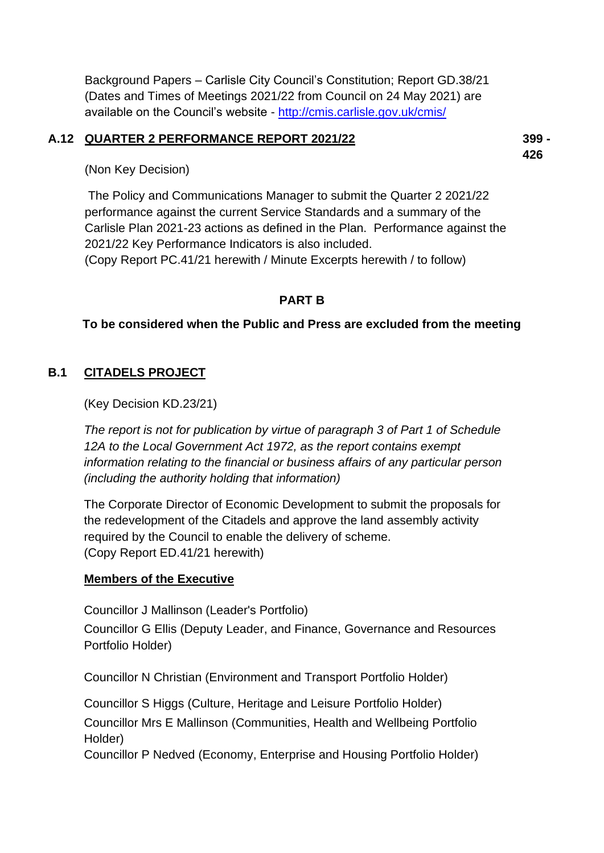Background Papers – Carlisle City Council's Constitution; Report GD.38/21 (Dates and Times of Meetings 2021/22 from Council on 24 May 2021) are available on the Council's website - <http://cmis.carlisle.gov.uk/cmis/>

### **A.12 QUARTER 2 PERFORMANCE REPORT 2021/22**

**399 - 426**

(Non Key Decision)

The Policy and Communications Manager to submit the Quarter 2 2021/22 performance against the current Service Standards and a summary of the Carlisle Plan 2021-23 actions as defined in the Plan. Performance against the 2021/22 Key Performance Indicators is also included. (Copy Report PC.41/21 herewith / Minute Excerpts herewith / to follow)

### **PART B**

### **To be considered when the Public and Press are excluded from the meeting**

### **B.1 CITADELS PROJECT**

(Key Decision KD.23/21)

*The report is not for publication by virtue of paragraph 3 of Part 1 of Schedule 12A to the Local Government Act 1972, as the report contains exempt information relating to the financial or business affairs of any particular person (including the authority holding that information)*

The Corporate Director of Economic Development to submit the proposals for the redevelopment of the Citadels and approve the land assembly activity required by the Council to enable the delivery of scheme. (Copy Report ED.41/21 herewith)

### **Members of the Executive**

Councillor J Mallinson (Leader's Portfolio)

Councillor G Ellis (Deputy Leader, and Finance, Governance and Resources Portfolio Holder)

Councillor N Christian (Environment and Transport Portfolio Holder)

Councillor S Higgs (Culture, Heritage and Leisure Portfolio Holder)

Councillor Mrs E Mallinson (Communities, Health and Wellbeing Portfolio Holder)

Councillor P Nedved (Economy, Enterprise and Housing Portfolio Holder)